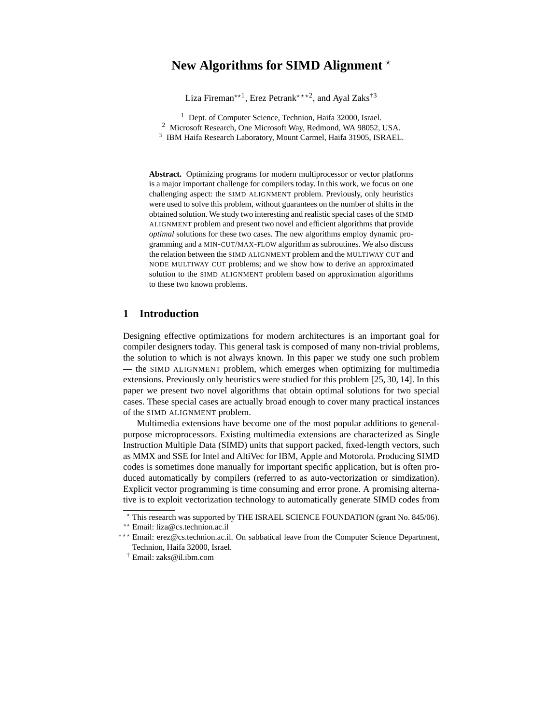# **New Algorithms for SIMD Alignment**

Liza Fireman<sup>\*\*1</sup>, Erez Petrank<sup>\*\*\*2</sup>, and Ayal Zaks<sup>†3</sup>

<sup>1</sup> Dept. of Computer Science, Technion, Haifa 32000, Israel.

<sup>2</sup> Microsoft Research, One Microsoft Way, Redmond, WA 98052, USA.

<sup>3</sup> IBM Haifa Research Laboratory, Mount Carmel, Haifa 31905, ISRAEL.

**Abstract.** Optimizing programs for modern multiprocessor or vector platforms is a major important challenge for compilers today. In this work, we focus on one challenging aspect: the SIMD ALIGNMENT problem. Previously, only heuristics were used to solve this problem, without guarantees on the number of shifts in the obtained solution. We study two interesting and realistic special cases of the SIMD ALIGNMENT problem and present two novel and efficient algorithms that provide *optimal* solutions for these two cases. The new algorithms employ dynamic programming and a MIN-CUT/MAX-FLOW algorithm as subroutines. We also discuss the relation between the SIMD ALIGNMENT problem and the MULTIWAY CUT and NODE MULTIWAY CUT problems; and we show how to derive an approximated solution to the SIMD ALIGNMENT problem based on approximation algorithms to these two known problems.

## **1 Introduction**

Designing effective optimizations for modern architectures is an important goal for compiler designers today. This general task is composed of many non-trivial problems, the solution to which is not always known. In this paper we study one such problem — the SIMD ALIGNMENT problem, which emerges when optimizing for multimedia extensions. Previously only heuristics were studied for this problem [25, 30, 14]. In this paper we present two novel algorithms that obtain optimal solutions for two special cases. These special cases are actually broad enough to cover many practical instances of the SIMD ALIGNMENT problem.

Multimedia extensions have become one of the most popular additions to generalpurpose microprocessors. Existing multimedia extensions are characterized as Single Instruction Multiple Data (SIMD) units that support packed, fixed-length vectors, such as MMX and SSE for Intel and AltiVec for IBM, Apple and Motorola. Producing SIMD codes is sometimes done manually for important specific application, but is often produced automatically by compilers (referred to as auto-vectorization or simdization). Explicit vector programming is time consuming and error prone. A promising alternative is to exploit vectorization technology to automatically generate SIMD codes from

This research was supported by THE ISRAEL SCIENCE FOUNDATION (grant No. 845/06). Email: liza@cs.technion.ac.il

<sup>\*\*\*</sup> Email: erez@cs.technion.ac.il. On sabbatical leave from the Computer Science Department, Technion, Haifa 32000, Israel.

<sup>†</sup> Email: zaks@il.ibm.com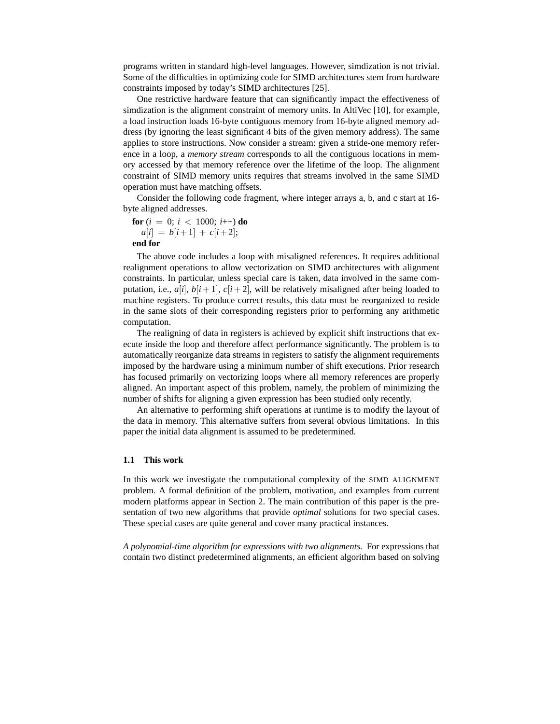programs written in standard high-level languages. However, simdization is not trivial. Some of the difficulties in optimizing code for SIMD architectures stem from hardware constraints imposed by today's SIMD architectures [25].

One restrictive hardware feature that can significantly impact the effectiveness of simdization is the alignment constraint of memory units. In AltiVec [10], for example, a load instruction loads 16-byte contiguous memory from 16-byte aligned memory address (by ignoring the least significant 4 bits of the given memory address). The same applies to store instructions. Now consider a stream: given a stride-one memory reference in a loop, a *memory stream* corresponds to all the contiguous locations in memory accessed by that memory reference over the lifetime of the loop. The alignment constraint of SIMD memory units requires that streams involved in the same SIMD operation must have matching offsets.

Consider the following code fragment, where integer arrays a, b, and c start at 16 byte aligned addresses.

**for**  $(i = 0; i < 1000; i++)$  **do**  $a[i] = b[i+1] + c[i+2];$ **end for**

The above code includes a loop with misaligned references. It requires additional realignment operations to allow vectorization on SIMD architectures with alignment constraints. In particular, unless special care is taken, data involved in the same computation, i.e.,  $a[i], b[i+1], c[i+2]$ , will be relatively misaligned after being loaded to machine registers. To produce correct results, this data must be reorganized to reside in the same slots of their corresponding registers prior to performing any arithmetic computation.

The realigning of data in registers is achieved by explicit shift instructions that execute inside the loop and therefore affect performance significantly. The problem is to automatically reorganize data streams in registers to satisfy the alignment requirements imposed by the hardware using a minimum number of shift executions. Prior research has focused primarily on vectorizing loops where all memory references are properly aligned. An important aspect of this problem, namely, the problem of minimizing the number of shifts for aligning a given expression has been studied only recently.

An alternative to performing shift operations at runtime is to modify the layout of the data in memory. This alternative suffers from several obvious limitations. In this paper the initial data alignment is assumed to be predetermined.

#### **1.1 This work**

In this work we investigate the computational complexity of the SIMD ALIGNMENT problem. A formal definition of the problem, motivation, and examples from current modern platforms appear in Section 2. The main contribution of this paper is the presentation of two new algorithms that provide *optimal* solutions for two special cases. These special cases are quite general and cover many practical instances.

*A polynomial-time algorithm for expressions with two alignments.* For expressions that contain two distinct predetermined alignments, an efficient algorithm based on solving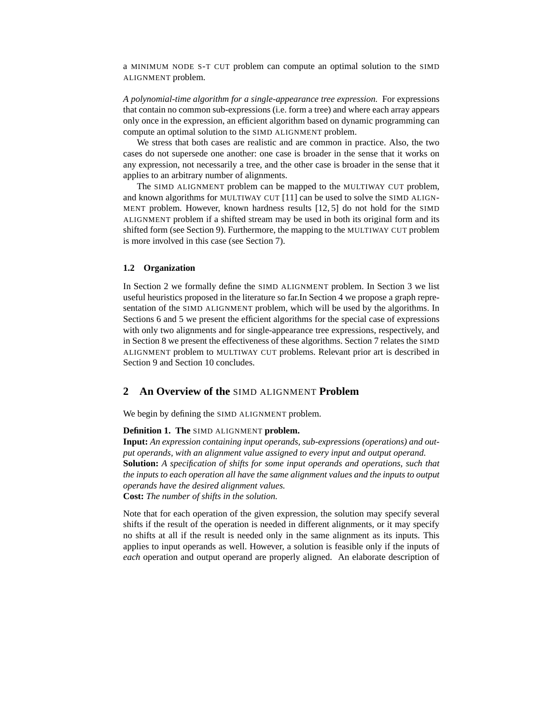a MINIMUM NODE S-T CUT problem can compute an optimal solution to the SIMD ALIGNMENT problem.

*A polynomial-time algorithm for a single-appearance tree expression.* For expressions that contain no common sub-expressions (i.e. form a tree) and where each array appears only once in the expression, an efficient algorithm based on dynamic programming can compute an optimal solution to the SIMD ALIGNMENT problem.

We stress that both cases are realistic and are common in practice. Also, the two cases do not supersede one another: one case is broader in the sense that it works on any expression, not necessarily a tree, and the other case is broader in the sense that it applies to an arbitrary number of alignments.

The SIMD ALIGNMENT problem can be mapped to the MULTIWAY CUT problem, and known algorithms for MULTIWAY CUT [11] can be used to solve the SIMD ALIGN-MENT problem. However, known hardness results [12, 5] do not hold for the SIMD ALIGNMENT problem if a shifted stream may be used in both its original form and its shifted form (see Section 9). Furthermore, the mapping to the MULTIWAY CUT problem is more involved in this case (see Section 7).

### **1.2 Organization**

In Section 2 we formally define the SIMD ALIGNMENT problem. In Section 3 we list useful heuristics proposed in the literature so far.In Section 4 we propose a graph representation of the SIMD ALIGNMENT problem, which will be used by the algorithms. In Sections 6 and 5 we present the efficient algorithms for the special case of expressions with only two alignments and for single-appearance tree expressions, respectively, and in Section 8 we present the effectiveness of these algorithms. Section 7 relates the SIMD ALIGNMENT problem to MULTIWAY CUT problems. Relevant prior art is described in Section 9 and Section 10 concludes.

## **2 An Overview of the** SIMD ALIGNMENT **Problem**

We begin by defining the SIMD ALIGNMENT problem.

### **Definition 1. The** SIMD ALIGNMENT **problem.**

**Input:** *An expression containing input operands, sub-expressions (operations) and output operands, with an alignment value assigned to every input and output operand.* **Solution:** *A specification of shifts for some input operands and operations, such that the inputs to each operation all have the same alignment values and the inputs to output operands have the desired alignment values.* **Cost:** *The number of shifts in the solution.*

Note that for each operation of the given expression, the solution may specify several shifts if the result of the operation is needed in different alignments, or it may specify no shifts at all if the result is needed only in the same alignment as its inputs. This applies to input operands as well. However, a solution is feasible only if the inputs of *each* operation and output operand are properly aligned. An elaborate description of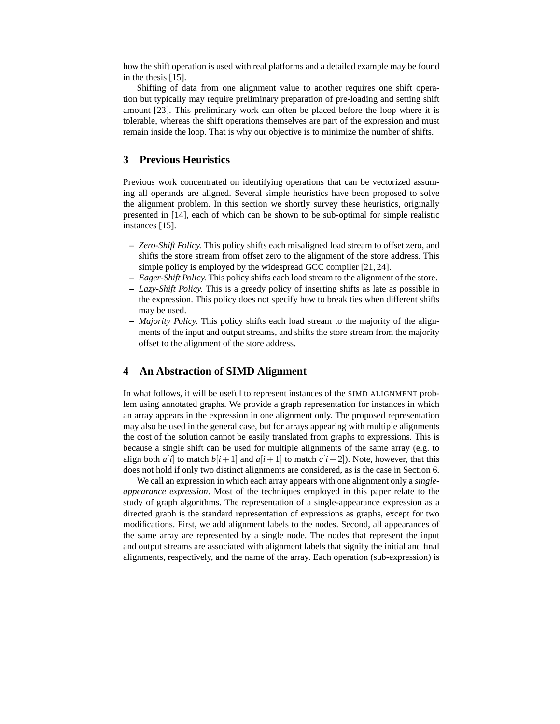how the shift operation is used with real platforms and a detailed example may be found in the thesis [15].

Shifting of data from one alignment value to another requires one shift operation but typically may require preliminary preparation of pre-loading and setting shift amount [23]. This preliminary work can often be placed before the loop where it is tolerable, whereas the shift operations themselves are part of the expression and must remain inside the loop. That is why our objective is to minimize the number of shifts.

## **3 Previous Heuristics**

Previous work concentrated on identifying operations that can be vectorized assuming all operands are aligned. Several simple heuristics have been proposed to solve the alignment problem. In this section we shortly survey these heuristics, originally presented in [14], each of which can be shown to be sub-optimal for simple realistic instances [15].

- **–** *Zero-Shift Policy.* This policy shifts each misaligned load stream to offset zero, and shifts the store stream from offset zero to the alignment of the store address. This simple policy is employed by the widespread GCC compiler [21, 24].
- **–** *Eager-Shift Policy.* This policy shifts each load stream to the alignment of the store.
- **–** *Lazy-Shift Policy.* This is a greedy policy of inserting shifts as late as possible in the expression. This policy does not specify how to break ties when different shifts may be used.
- **–** *Majority Policy.* This policy shifts each load stream to the majority of the alignments of the input and output streams, and shifts the store stream from the majority offset to the alignment of the store address.

## **4 An Abstraction of SIMD Alignment**

In what follows, it will be useful to represent instances of the SIMD ALIGNMENT problem using annotated graphs. We provide a graph representation for instances in which an array appears in the expression in one alignment only. The proposed representation may also be used in the general case, but for arrays appearing with multiple alignments the cost of the solution cannot be easily translated from graphs to expressions. This is because a single shift can be used for multiple alignments of the same array (e.g. to align both  $a[i]$  to match  $b[i+1]$  and  $a[i+1]$  to match  $c[i+2]$ ). Note, however, that this does not hold if only two distinct alignments are considered, as is the case in Section 6.

We call an expression in which each array appears with one alignment only a *singleappearance expression*. Most of the techniques employed in this paper relate to the study of graph algorithms. The representation of a single-appearance expression as a directed graph is the standard representation of expressions as graphs, except for two modifications. First, we add alignment labels to the nodes. Second, all appearances of the same array are represented by a single node. The nodes that represent the input and output streams are associated with alignment labels that signify the initial and final alignments, respectively, and the name of the array. Each operation (sub-expression) is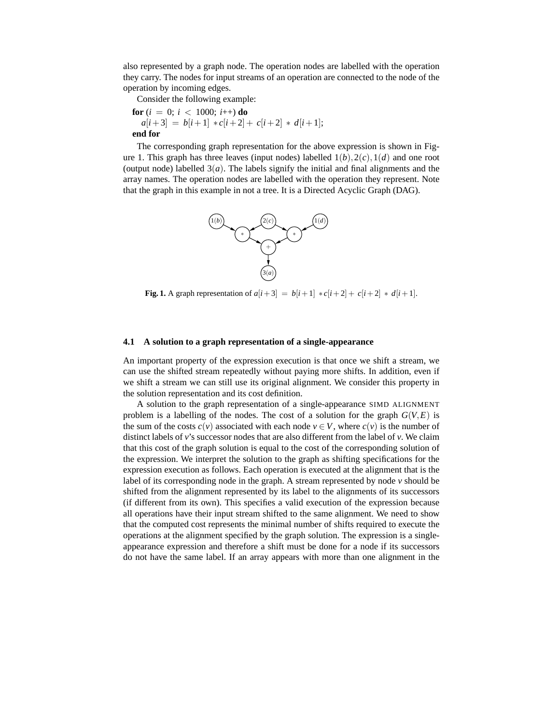also represented by a graph node. The operation nodes are labelled with the operation they carry. The nodes for input streams of an operation are connected to the node of the operation by incoming edges.

Consider the following example:

**for**  $(i = 0; i < 1000; i++)$  **do**  $a[i+3] = b[i+1] * c[i+2] + c[i+2] * d[i+1];$ **end for**

The corresponding graph representation for the above expression is shown in Figure 1. This graph has three leaves (input nodes) labelled  $1(b)$ ,  $2(c)$ ,  $1(d)$  and one root (output node) labelled  $3(a)$ . The labels signify the initial and final alignments and the array names. The operation nodes are labelled with the operation they represent. Note that the graph in this example in not a tree. It is a Directed Acyclic Graph (DAG).



**Fig. 1.** A graph representation of  $a[i+3] = b[i+1] * c[i+2] + c[i+2] * d[i+1]$ .

### **4.1 A solution to a graph representation of a single-appearance**

An important property of the expression execution is that once we shift a stream, we can use the shifted stream repeatedly without paying more shifts. In addition, even if we shift a stream we can still use its original alignment. We consider this property in the solution representation and its cost definition.

A solution to the graph representation of a single-appearance SIMD ALIGNMENT problem is a labelling of the nodes. The cost of a solution for the graph  $G(V,E)$  is the sum of the costs  $c(v)$  associated with each node  $v \in V$ , where  $c(v)$  is the number of distinct labels of *v*'s successor nodes that are also different from the label of *v*. We claim that this cost of the graph solution is equal to the cost of the corresponding solution of the expression. We interpret the solution to the graph as shifting specifications for the expression execution as follows. Each operation is executed at the alignment that is the label of its corresponding node in the graph. A stream represented by node *v* should be shifted from the alignment represented by its label to the alignments of its successors (if different from its own). This specifies a valid execution of the expression because all operations have their input stream shifted to the same alignment. We need to show that the computed cost represents the minimal number of shifts required to execute the operations at the alignment specified by the graph solution. The expression is a singleappearance expression and therefore a shift must be done for a node if its successors do not have the same label. If an array appears with more than one alignment in the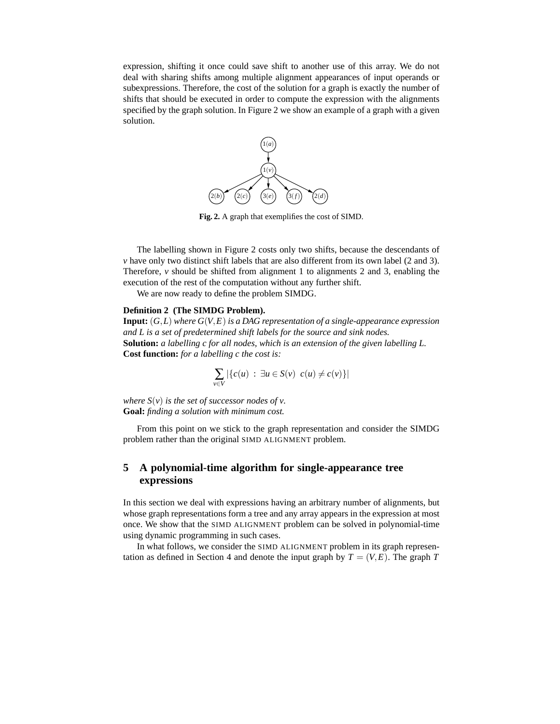expression, shifting it once could save shift to another use of this array. We do not deal with sharing shifts among multiple alignment appearances of input operands or subexpressions. Therefore, the cost of the solution for a graph is exactly the number of shifts that should be executed in order to compute the expression with the alignments specified by the graph solution. In Figure 2 we show an example of a graph with a given solution.



**Fig. 2.** A graph that exemplifies the cost of SIMD.

The labelling shown in Figure 2 costs only two shifts, because the descendants of *v* have only two distinct shift labels that are also different from its own label (2 and 3). Therefore,  $\nu$  should be shifted from alignment 1 to alignments 2 and 3, enabling the execution of the rest of the computation without any further shift.

We are now ready to define the problem SIMDG.

#### **Definition 2 (The SIMDG Problem).**

**Input:** (*G*,*L*) *where G*(*V*,*E*) *is a DAG representation of a single-appearance expression and L is a set of predetermined shift labels for the source and sink nodes.* **Solution:** *a labelling c for all nodes, which is an extension of the given labelling L.* **Cost function:** *for a labelling c the cost is:*

$$
\sum_{v \in V} |\{c(u) : \exists u \in S(v) \ c(u) \neq c(v)\}|
$$

*where*  $S(v)$  *is the set of successor nodes of v.* **Goal:** *finding a solution with minimum cost.*

From this point on we stick to the graph representation and consider the SIMDG problem rather than the original SIMD ALIGNMENT problem.

## **5 A polynomial-time algorithm for single-appearance tree expressions**

In this section we deal with expressions having an arbitrary number of alignments, but whose graph representations form a tree and any array appears in the expression at most once. We show that the SIMD ALIGNMENT problem can be solved in polynomial-time using dynamic programming in such cases.

In what follows, we consider the SIMD ALIGNMENT problem in its graph representation as defined in Section 4 and denote the input graph by  $T = (V, E)$ . The graph *T*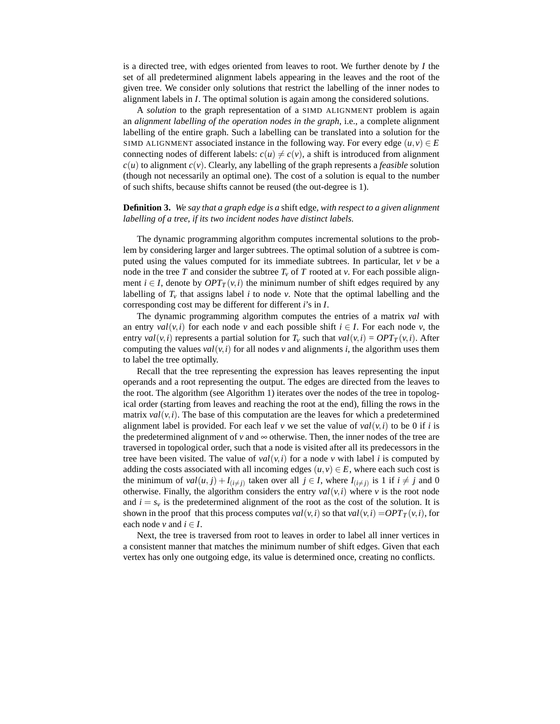is a directed tree, with edges oriented from leaves to root. We further denote by *I* the set of all predetermined alignment labels appearing in the leaves and the root of the given tree. We consider only solutions that restrict the labelling of the inner nodes to alignment labels in *I*. The optimal solution is again among the considered solutions.

A *solution* to the graph representation of a SIMD ALIGNMENT problem is again an *alignment labelling of the operation nodes in the graph*, i.e., a complete alignment labelling of the entire graph. Such a labelling can be translated into a solution for the SIMD ALIGNMENT associated instance in the following way. For every edge  $(u, v) \in E$ connecting nodes of different labels:  $c(u) \neq c(v)$ , a shift is introduced from alignment  $c(u)$  to alignment  $c(v)$ . Clearly, any labelling of the graph represents a *feasible* solution (though not necessarily an optimal one). The cost of a solution is equal to the number of such shifts, because shifts cannot be reused (the out-degree is 1).

## **Definition 3.** *We say that a graph edge is a* shift edge*, with respect to a given alignment labelling of a tree, if its two incident nodes have distinct labels.*

The dynamic programming algorithm computes incremental solutions to the problem by considering larger and larger subtrees. The optimal solution of a subtree is computed using the values computed for its immediate subtrees. In particular, let  $\nu$  be a node in the tree *T* and consider the subtree  $T_v$  of *T* rooted at *v*. For each possible alignment *i*  $\in$  *I*, denote by *OPT<sub>T</sub>*(*v*,*i*) the minimum number of shift edges required by any labelling of  $T_v$  that assigns label *i* to node *v*. Note that the optimal labelling and the corresponding cost may be different for different *i*'s in *I*.

The dynamic programming algorithm computes the entries of a matrix *val* with an entry *val*(*v*,*i*) for each node *v* and each possible shift  $i \in I$ . For each node *v*, the entry *val*(*v*,*i*) represents a partial solution for  $T_v$  such that  $val(v, i) = OPT_T(v, i)$ . After computing the values  $val(v, i)$  for all nodes v and alignments *i*, the algorithm uses them to label the tree optimally.

Recall that the tree representing the expression has leaves representing the input operands and a root representing the output. The edges are directed from the leaves to the root. The algorithm (see Algorithm 1) iterates over the nodes of the tree in topological order (starting from leaves and reaching the root at the end), filling the rows in the matrix  $val(v, i)$ . The base of this computation are the leaves for which a predetermined alignment label is provided. For each leaf  $\nu$  we set the value of  $val(v, i)$  to be 0 if *i* is the predetermined alignment of  $v$  and  $\infty$  otherwise. Then, the inner nodes of the tree are traversed in topological order, such that a node is visited after all its predecessors in the tree have been visited. The value of  $val(v, i)$  for a node v with label *i* is computed by adding the costs associated with all incoming edges  $(u, v) \in E$ , where each such cost is the minimum of  $val(u, j) + I_{(i \neq j)}$  taken over all  $j \in I$ , where  $I_{(i \neq j)}$  is 1 if  $i \neq j$  and 0 otherwise. Finally, the algorithm considers the entry  $val(v, i)$  where *v* is the root node and  $i = s<sub>v</sub>$  is the predetermined alignment of the root as the cost of the solution. It is shown in the proof that this process computes  $val(v, i)$  so that  $val(v, i) = OPT_T(v, i)$ , for each node  $v$  and  $i \in I$ .

Next, the tree is traversed from root to leaves in order to label all inner vertices in a consistent manner that matches the minimum number of shift edges. Given that each vertex has only one outgoing edge, its value is determined once, creating no conflicts.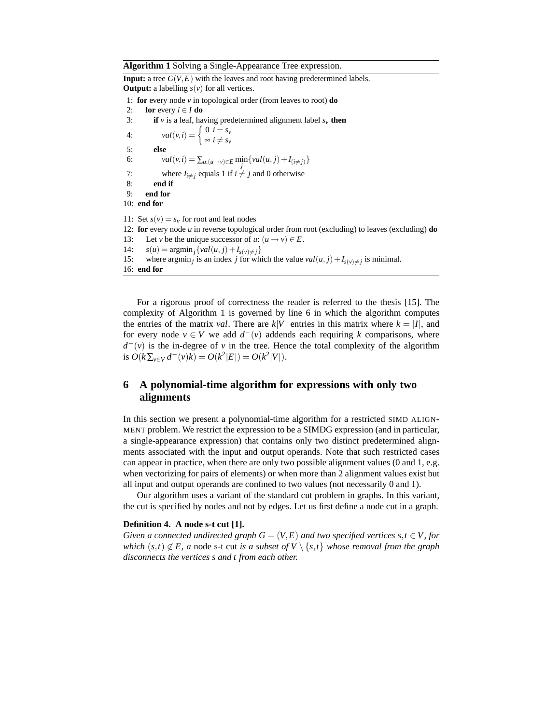**Algorithm 1** Solving a Single-Appearance Tree expression.

**Input:** a tree  $G(V, E)$  with the leaves and root having predetermined labels. **Output:** a labelling  $s(v)$  for all vertices. 1: **for** every node *v* in topological order (from leaves to root) **do** 2: **for** every  $i \in I$  **do** 3: **if** *v* is a leaf, having predetermined alignment label  $s_v$  then 4:  $val(v, i) = \begin{cases} 0 & i = s_v \\ \infty & i \neq s_v \end{cases}$ 5: **else** 6:  $val(v, i) = \sum_{u: (u \to v) \in E} \min_{j} \{ val(u, j) + I_{(i \neq j)} \}$ 7: where  $I_{i \neq j}$  equals 1 if  $i \neq j$  and 0 otherwise 8: **end if** 9: **end for** 10: **end for** 11: Set  $s(v) = s_v$  for root and leaf nodes 12: **for** every node *u* in reverse topological order from root (excluding) to leaves (excluding) **do** 13: Let *v* be the unique successor of *u*:  $(u \rightarrow v) \in E$ . 14:  $s(u) = \operatorname{argmin}_j \{ val(u, j) + I_{s(v) \neq j} \}$ 15: where argmin<sub>j</sub> is an index *j* for which the value  $val(u, j) + I_{s(v) \neq j}$  is minimal. 16: **end for**

For a rigorous proof of correctness the reader is referred to the thesis [15]. The complexity of Algorithm 1 is governed by line 6 in which the algorithm computes the entries of the matrix *val*. There are  $k|V|$  entries in this matrix where  $k = |I|$ , and for every node  $v \in V$  we add  $d^-(v)$  addends each requiring k comparisons, where  $d^-(v)$  is the in-degree of *v* in the tree. Hence the total complexity of the algorithm is  $O(k \sum_{v \in V} d^{-}(v)k) = O(k^2|E|) = O(k^2|V|).$ 

## **6 A polynomial-time algorithm for expressions with only two alignments**

In this section we present a polynomial-time algorithm for a restricted SIMD ALIGN-MENT problem. We restrict the expression to be a SIMDG expression (and in particular, a single-appearance expression) that contains only two distinct predetermined alignments associated with the input and output operands. Note that such restricted cases can appear in practice, when there are only two possible alignment values (0 and 1, e.g. when vectorizing for pairs of elements) or when more than 2 alignment values exist but all input and output operands are confined to two values (not necessarily 0 and 1).

Our algorithm uses a variant of the standard cut problem in graphs. In this variant, the cut is specified by nodes and not by edges. Let us first define a node cut in a graph.

#### **Definition 4. A node s-t cut [1].**

*Given a connected undirected graph*  $G = (V, E)$  *and two specified vertices s,t*  $\in V$ *, for which*  $(s,t) \notin E$ , a node s-t cut *is a subset of*  $V \setminus \{s,t\}$  *whose removal from the graph disconnects the vertices s and t from each other.*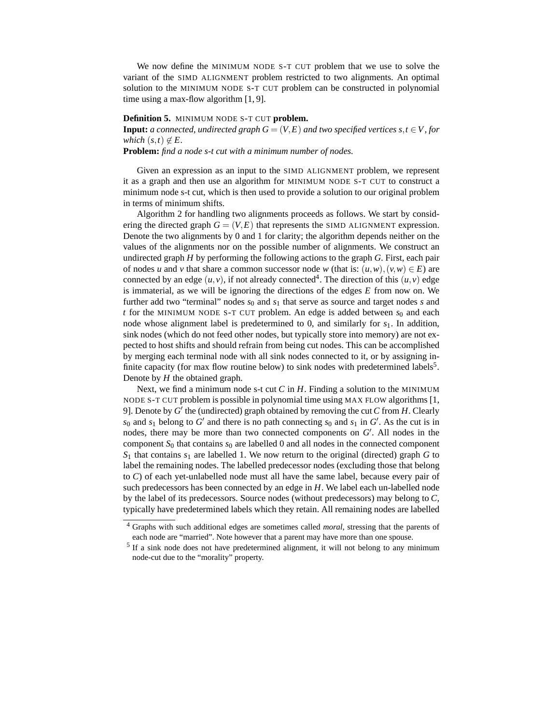We now define the MINIMUM NODE S-T CUT problem that we use to solve the variant of the SIMD ALIGNMENT problem restricted to two alignments. An optimal solution to the MINIMUM NODE S-T CUT problem can be constructed in polynomial time using a max-flow algorithm [1, 9].

### **Definition 5.** MINIMUM NODE S-T CUT **problem.**

**Input:** *a connected, undirected graph*  $G = (V, E)$  *and two specified vertices s,t*  $\in V$ *, for which*  $(s,t) \notin E$ .

**Problem:** *find a node s-t cut with a minimum number of nodes.*

Given an expression as an input to the SIMD ALIGNMENT problem, we represent it as a graph and then use an algorithm for MINIMUM NODE S-T CUT to construct a minimum node s-t cut, which is then used to provide a solution to our original problem in terms of minimum shifts.

Algorithm 2 for handling two alignments proceeds as follows. We start by considering the directed graph  $G = (V, E)$  that represents the SIMD ALIGNMENT expression. Denote the two alignments by 0 and 1 for clarity; the algorithm depends neither on the values of the alignments nor on the possible number of alignments. We construct an undirected graph *H* by performing the following actions to the graph *G*. First, each pair of nodes *u* and *v* that share a common successor node *w* (that is:  $(u, w)$ ,  $(v, w) \in E$ ) are connected by an edge  $(u, v)$ , if not already connected<sup>4</sup>. The direction of this  $(u, v)$  edge is immaterial, as we will be ignoring the directions of the edges *E* from now on. We further add two "terminal" nodes  $s_0$  and  $s_1$  that serve as source and target nodes *s* and  $t$  for the MINIMUM NODE S-T CUT problem. An edge is added between  $s_0$  and each node whose alignment label is predetermined to 0, and similarly for  $s<sub>1</sub>$ . In addition, sink nodes (which do not feed other nodes, but typically store into memory) are not expected to host shifts and should refrain from being cut nodes. This can be accomplished by merging each terminal node with all sink nodes connected to it, or by assigning infinite capacity (for max flow routine below) to sink nodes with predetermined labels<sup>5</sup>. Denote by *H* the obtained graph.

Next, we find a minimum node s-t cut *C* in *H*. Finding a solution to the MINIMUM NODE S-T CUT problem is possible in polynomial time using MAX FLOW algorithms [1, 9]. Denote by  $G'$  the (undirected) graph obtained by removing the cut  $C$  from  $H$ . Clearly  $s_0$  and  $s_1$  belong to *G*<sup> $\prime$ </sup> and there is no path connecting  $s_0$  and  $s_1$  in *G*<sup> $\prime$ </sup>. As the cut is in nodes, there may be more than two connected components on *G* . All nodes in the component  $S_0$  that contains  $s_0$  are labelled 0 and all nodes in the connected component  $S_1$  that contains  $s_1$  are labelled 1. We now return to the original (directed) graph *G* to label the remaining nodes. The labelled predecessor nodes (excluding those that belong to *C*) of each yet-unlabelled node must all have the same label, because every pair of such predecessors has been connected by an edge in *H*. We label each un-labelled node by the label of its predecessors. Source nodes (without predecessors) may belong to *C*, typically have predetermined labels which they retain. All remaining nodes are labelled

<sup>4</sup> Graphs with such additional edges are sometimes called *moral*, stressing that the parents of each node are "married". Note however that a parent may have more than one spouse.

<sup>5</sup> If a sink node does not have predetermined alignment, it will not belong to any minimum node-cut due to the "morality" property.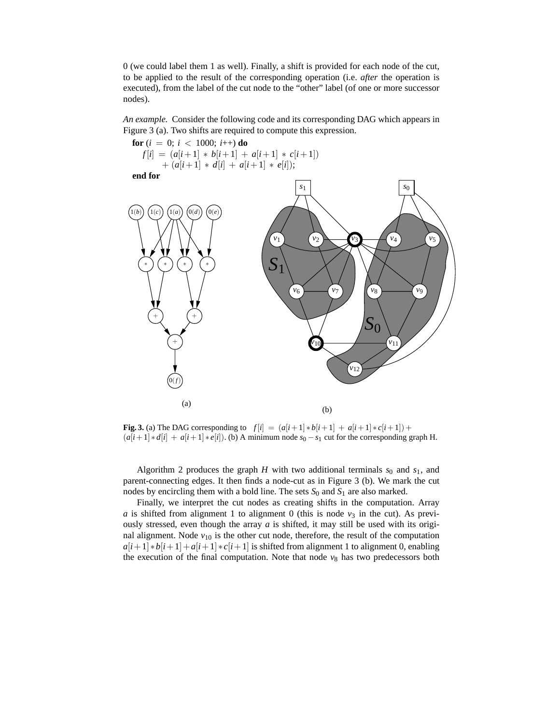0 (we could label them 1 as well). Finally, a shift is provided for each node of the cut, to be applied to the result of the corresponding operation (i.e. *after* the operation is executed), from the label of the cut node to the "other" label (of one or more successor nodes).

*An example.* Consider the following code and its corresponding DAG which appears in Figure 3 (a). Two shifts are required to compute this expression.

**for** 
$$
(i = 0; i < 1000; i++)
$$
 **do**  
\n $f[i] = (a[i+1] * b[i+1] + a[i+1] * c[i+1])$   
\n $+ (a[i+1] * d[i] + a[i+1] * e[i]);$ 

**end for**



**Fig. 3.** (a) The DAG corresponding to  $f[i] = (a[i+1] * b[i+1] + a[i+1] * c[i+1]) +$  $(a[i+1] * d[i] + a[i+1] * e[i])$ . (b) A minimum node  $s_0 - s_1$  cut for the corresponding graph H.

Algorithm 2 produces the graph *H* with two additional terminals  $s_0$  and  $s_1$ , and parent-connecting edges. It then finds a node-cut as in Figure 3 (b). We mark the cut nodes by encircling them with a bold line. The sets  $S_0$  and  $S_1$  are also marked.

Finally, we interpret the cut nodes as creating shifts in the computation. Array *a* is shifted from alignment 1 to alignment 0 (this is node  $v_3$  in the cut). As previously stressed, even though the array *a* is shifted, it may still be used with its original alignment. Node  $v_{10}$  is the other cut node, therefore, the result of the computation  $a[i+1]*b[i+1]+a[i+1]*c[i+1]$  is shifted from alignment 1 to alignment 0, enabling the execution of the final computation. Note that node  $v_8$  has two predecessors both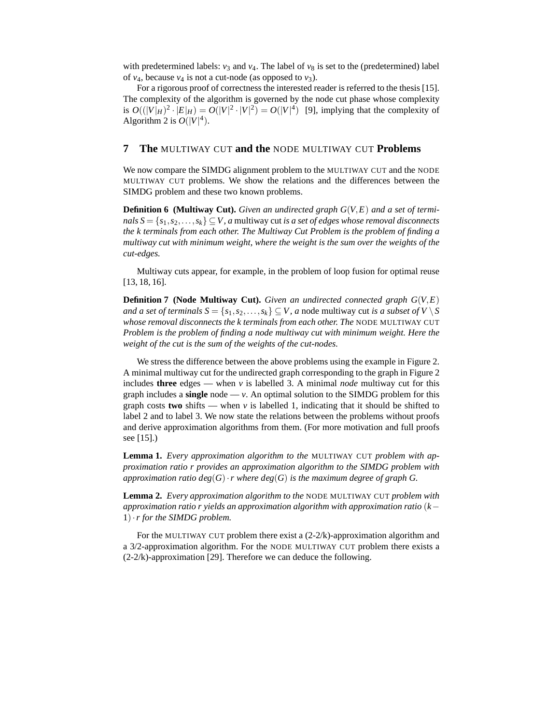with predetermined labels:  $v_3$  and  $v_4$ . The label of  $v_8$  is set to the (predetermined) label of  $v_4$ , because  $v_4$  is not a cut-node (as opposed to  $v_3$ ).

For a rigorous proof of correctness the interested reader is referred to the thesis [15]. The complexity of the algorithm is governed by the node cut phase whose complexity is  $O((|V|_H)^2 \cdot |E|_H) = O(|V|^2 \cdot |V|^2) = O(|V|^4)$  [9], implying that the complexity of Algorithm 2 is  $O(|V|^4)$ .

## **7 The** MULTIWAY CUT **and the** NODE MULTIWAY CUT **Problems**

We now compare the SIMDG alignment problem to the MULTIWAY CUT and the NODE MULTIWAY CUT problems. We show the relations and the differences between the SIMDG problem and these two known problems.

**Definition 6 (Multiway Cut).** *Given an undirected graph G*(*V*,*E*) *and a set of terminals*  $S = \{s_1, s_2, \ldots, s_k\} \subseteq V$ , *a* multiway cut *is a set of edges whose removal disconnects the k terminals from each other. The Multiway Cut Problem is the problem of finding a multiway cut with minimum weight, where the weight is the sum over the weights of the cut-edges.*

Multiway cuts appear, for example, in the problem of loop fusion for optimal reuse [13, 18, 16].

**Definition 7 (Node Multiway Cut).** *Given an undirected connected graph G*(*V*,*E*) *and a set of terminals*  $S = \{s_1, s_2, \ldots, s_k\} \subseteq V$ , a node multiway cut *is a subset of*  $V \setminus S$ *whose removal disconnects the k terminals from each other. The* NODE MULTIWAY CUT *Problem is the problem of finding a node multiway cut with minimum weight. Here the weight of the cut is the sum of the weights of the cut-nodes.*

We stress the difference between the above problems using the example in Figure 2. A minimal multiway cut for the undirected graph corresponding to the graph in Figure 2 includes **three** edges — when  $\nu$  is labelled 3. A minimal *node* multiway cut for this graph includes a **single** node —  $v$ . An optimal solution to the SIMDG problem for this graph costs **two** shifts — when  $v$  is labelled 1, indicating that it should be shifted to label 2 and to label 3. We now state the relations between the problems without proofs and derive approximation algorithms from them. (For more motivation and full proofs see [15].)

**Lemma 1.** *Every approximation algorithm to the* MULTIWAY CUT *problem with approximation ratio r provides an approximation algorithm to the SIMDG problem with approximation ratio deg*( $G$ )  $\cdot$ *r where deg*( $G$ ) *is the maximum degree of graph G.* 

**Lemma 2.** *Every approximation algorithm to the* NODE MULTIWAY CUT *problem with approximation ratio r yields an approximation algorithm with approximation ratio* (*k*− 1)·*r for the SIMDG problem.*

For the MULTIWAY CUT problem there exist a (2-2/k)-approximation algorithm and a 3/2-approximation algorithm. For the NODE MULTIWAY CUT problem there exists a (2-2/k)-approximation [29]. Therefore we can deduce the following.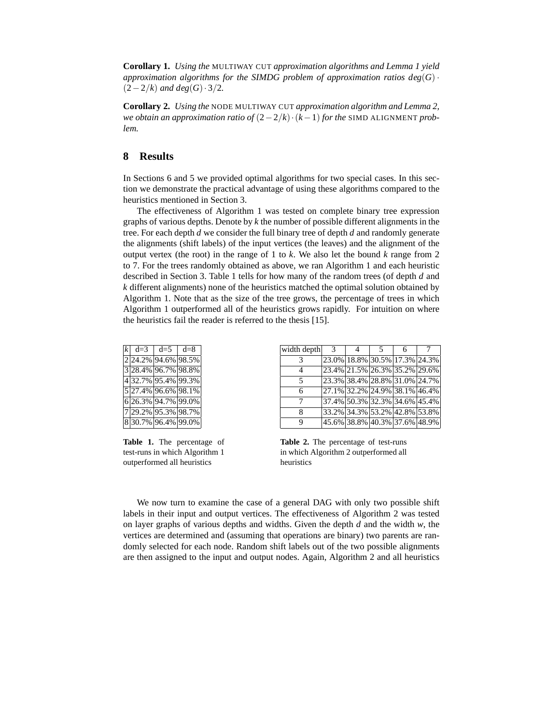**Corollary 1.** *Using the* MULTIWAY CUT *approximation algorithms and Lemma 1 yield* approximation algorithms for the SIMDG problem of approximation ratios  $deg(G)$ .  $(2-2/k)$  *and deg*(*G*) · 3/2*.* 

**Corollary 2.** *Using the* NODE MULTIWAY CUT *approximation algorithm and Lemma 2, we obtain an approximation ratio of*  $(2-2/k) \cdot (k-1)$  *for the SIMD ALIGNMENT problem.*

## **8 Results**

In Sections 6 and 5 we provided optimal algorithms for two special cases. In this section we demonstrate the practical advantage of using these algorithms compared to the heuristics mentioned in Section 3.

The effectiveness of Algorithm 1 was tested on complete binary tree expression graphs of various depths. Denote by *k* the number of possible different alignments in the tree. For each depth *d* we consider the full binary tree of depth *d* and randomly generate the alignments (shift labels) of the input vertices (the leaves) and the alignment of the output vertex (the root) in the range of 1 to *k*. We also let the bound *k* range from 2 to 7. For the trees randomly obtained as above, we ran Algorithm 1 and each heuristic described in Section 3. Table 1 tells for how many of the random trees (of depth *d* and *k* different alignments) none of the heuristics matched the optimal solution obtained by Algorithm 1. Note that as the size of the tree grows, the percentage of trees in which Algorithm 1 outperformed all of the heuristics grows rapidly. For intuition on where the heuristics fail the reader is referred to the thesis [15].

| k | $d=3$ | $d=5$               | $d=8$ |  |
|---|-------|---------------------|-------|--|
|   |       | 224.2% 94.6% 98.5%  |       |  |
|   |       | 3 28.4% 96.7% 98.8% |       |  |
|   |       | 4 32.7% 95.4% 99.3% |       |  |
|   |       | 5 27.4% 96.6% 98.1% |       |  |
|   |       | 6 26.3% 94.7% 99.0% |       |  |
|   |       | 7 29.2% 95.3% 98.7% |       |  |
|   |       | 8 30.7% 96.4% 99.0% |       |  |

**Table 1.** The percentage of test-runs in which Algorithm 1 outperformed all heuristics

| width depth | $\overline{3}$                |                               |  |  |
|-------------|-------------------------------|-------------------------------|--|--|
| 3           |                               | 23.0% 18.8% 30.5% 17.3% 24.3% |  |  |
|             | 23.4% 21.5% 26.3% 35.2% 29.6% |                               |  |  |
| 5           |                               | 23.3% 38.4% 28.8% 31.0% 24.7% |  |  |
| 6           |                               | 27.1% 32.2% 24.9% 38.1% 46.4% |  |  |
| 7           | 37.4% 50.3% 32.3% 34.6% 45.4% |                               |  |  |
| 8           | 33.2% 34.3% 53.2% 42.8% 53.8% |                               |  |  |
| 9           | 45.6% 38.8% 40.3% 37.6% 48.9% |                               |  |  |

**Table 2.** The percentage of test-runs in which Algorithm 2 outperformed all heuristics

We now turn to examine the case of a general DAG with only two possible shift labels in their input and output vertices. The effectiveness of Algorithm 2 was tested on layer graphs of various depths and widths. Given the depth *d* and the width *w*, the vertices are determined and (assuming that operations are binary) two parents are randomly selected for each node. Random shift labels out of the two possible alignments are then assigned to the input and output nodes. Again, Algorithm 2 and all heuristics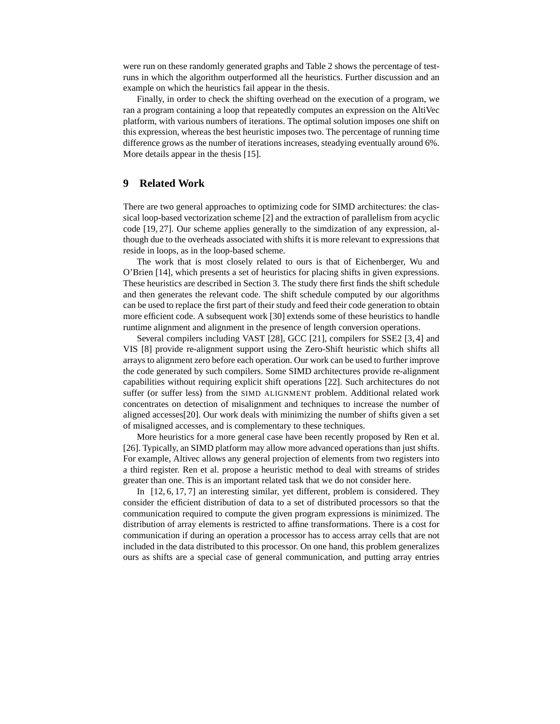were run on these randomly generated graphs and Table 2 shows the percentage of testruns in which the algorithm outperformed all the heuristics. Further discussion and an example on which the heuristics fail appear in the thesis.

Finally, in order to check the shifting overhead on the execution of a program, we ran a program containing a loop that repeatedly computes an expression on the AltiVec platform, with various numbers of iterations. The optimal solution imposes one shift on this expression, whereas the best heuristic imposes two. The percentage of running time difference grows as the number of iterations increases, steadying eventually around 6%. More details appear in the thesis [15].

## **9 Related Work**

There are two general approaches to optimizing code for SIMD architectures: the classical loop-based vectorization scheme [2] and the extraction of parallelism from acyclic code [19, 27]. Our scheme applies generally to the simdization of any expression, although due to the overheads associated with shifts it is more relevant to expressions that reside in loops, as in the loop-based scheme.

The work that is most closely related to ours is that of Eichenberger, Wu and O'Brien [14], which presents a set of heuristics for placing shifts in given expressions. These heuristics are described in Section 3. The study there first finds the shift schedule and then generates the relevant code. The shift schedule computed by our algorithms can be used to replace the first part of their study and feed their code generation to obtain more efficient code. A subsequent work [30] extends some of these heuristics to handle runtime alignment and alignment in the presence of length conversion operations.

Several compilers including VAST [28], GCC [21], compilers for SSE2 [3, 4] and VIS [8] provide re-alignment support using the Zero-Shift heuristic which shifts all arrays to alignment zero before each operation. Our work can be used to further improve the code generated by such compilers. Some SIMD architectures provide re-alignment capabilities without requiring explicit shift operations [22]. Such architectures do not suffer (or suffer less) from the SIMD ALIGNMENT problem. Additional related work concentrates on detection of misalignment and techniques to increase the number of aligned accesses[20]. Our work deals with minimizing the number of shifts given a set of misaligned accesses, and is complementary to these techniques.

More heuristics for a more general case have been recently proposed by Ren et al. [26]. Typically, an SIMD platform may allow more advanced operations than just shifts. For example, Altivec allows any general projection of elements from two registers into a third register. Ren et al. propose a heuristic method to deal with streams of strides greater than one. This is an important related task that we do not consider here.

In [12, 6, 17, 7] an interesting similar, yet different, problem is considered. They consider the efficient distribution of data to a set of distributed processors so that the communication required to compute the given program expressions is minimized. The distribution of array elements is restricted to affine transformations. There is a cost for communication if during an operation a processor has to access array cells that are not included in the data distributed to this processor. On one hand, this problem generalizes ours as shifts are a special case of general communication, and putting array entries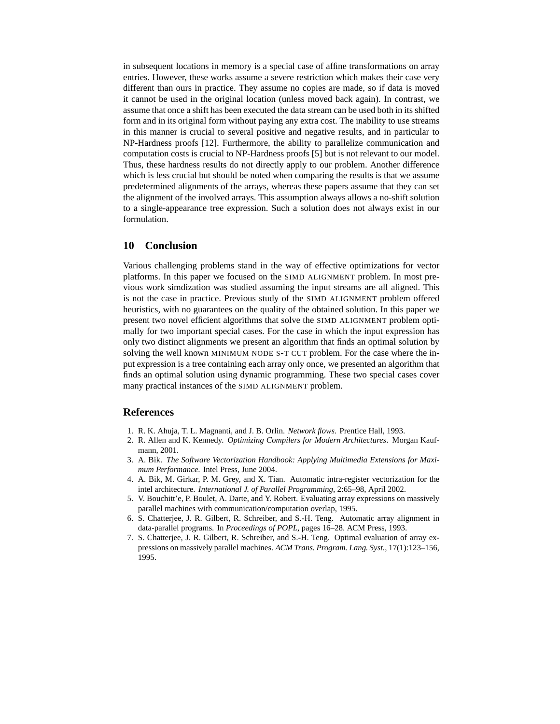in subsequent locations in memory is a special case of affine transformations on array entries. However, these works assume a severe restriction which makes their case very different than ours in practice. They assume no copies are made, so if data is moved it cannot be used in the original location (unless moved back again). In contrast, we assume that once a shift has been executed the data stream can be used both in its shifted form and in its original form without paying any extra cost. The inability to use streams in this manner is crucial to several positive and negative results, and in particular to NP-Hardness proofs [12]. Furthermore, the ability to parallelize communication and computation costs is crucial to NP-Hardness proofs [5] but is not relevant to our model. Thus, these hardness results do not directly apply to our problem. Another difference which is less crucial but should be noted when comparing the results is that we assume predetermined alignments of the arrays, whereas these papers assume that they can set the alignment of the involved arrays. This assumption always allows a no-shift solution to a single-appearance tree expression. Such a solution does not always exist in our formulation.

### **10 Conclusion**

Various challenging problems stand in the way of effective optimizations for vector platforms. In this paper we focused on the SIMD ALIGNMENT problem. In most previous work simdization was studied assuming the input streams are all aligned. This is not the case in practice. Previous study of the SIMD ALIGNMENT problem offered heuristics, with no guarantees on the quality of the obtained solution. In this paper we present two novel efficient algorithms that solve the SIMD ALIGNMENT problem optimally for two important special cases. For the case in which the input expression has only two distinct alignments we present an algorithm that finds an optimal solution by solving the well known MINIMUM NODE S-T CUT problem. For the case where the input expression is a tree containing each array only once, we presented an algorithm that finds an optimal solution using dynamic programming. These two special cases cover many practical instances of the SIMD ALIGNMENT problem.

## **References**

- 1. R. K. Ahuja, T. L. Magnanti, and J. B. Orlin. *Network flows*. Prentice Hall, 1993.
- 2. R. Allen and K. Kennedy. *Optimizing Compilers for Modern Architectures*. Morgan Kaufmann, 2001.
- 3. A. Bik. *The Software Vectorization Handbook: Applying Multimedia Extensions for Maximum Performance*. Intel Press, June 2004.
- 4. A. Bik, M. Girkar, P. M. Grey, and X. Tian. Automatic intra-register vectorization for the intel architecture. *International J. of Parallel Programming*, 2:65–98, April 2002.
- 5. V. Bouchitt'e, P. Boulet, A. Darte, and Y. Robert. Evaluating array expressions on massively parallel machines with communication/computation overlap, 1995.
- 6. S. Chatterjee, J. R. Gilbert, R. Schreiber, and S.-H. Teng. Automatic array alignment in data-parallel programs. In *Proceedings of POPL*, pages 16–28. ACM Press, 1993.
- 7. S. Chatterjee, J. R. Gilbert, R. Schreiber, and S.-H. Teng. Optimal evaluation of array expressions on massively parallel machines. *ACM Trans. Program. Lang. Syst.*, 17(1):123–156, 1995.